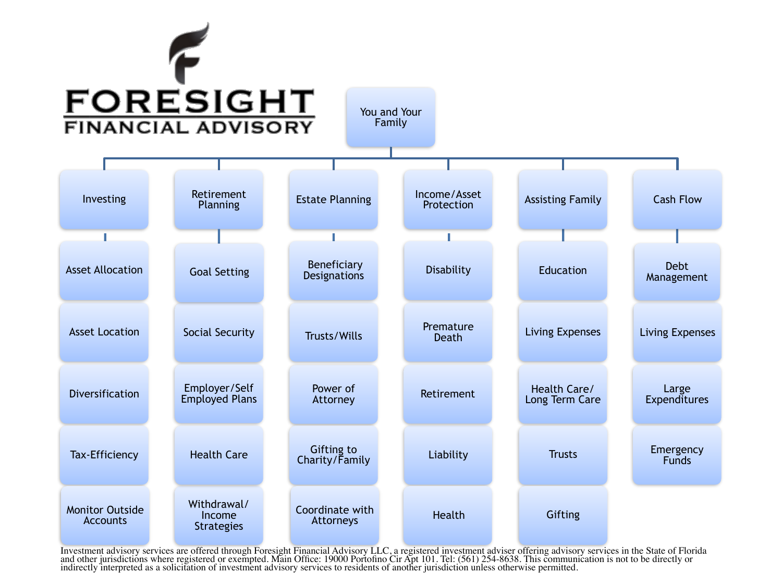# F **FORESIGHT**

You and Your Family



Investment advisory services are offered through Foresight Financial Advisory LLC, a registered investment adviser offering advisory services in the State of Florida<br>and other jurisdictions where registered or exempted. Ma